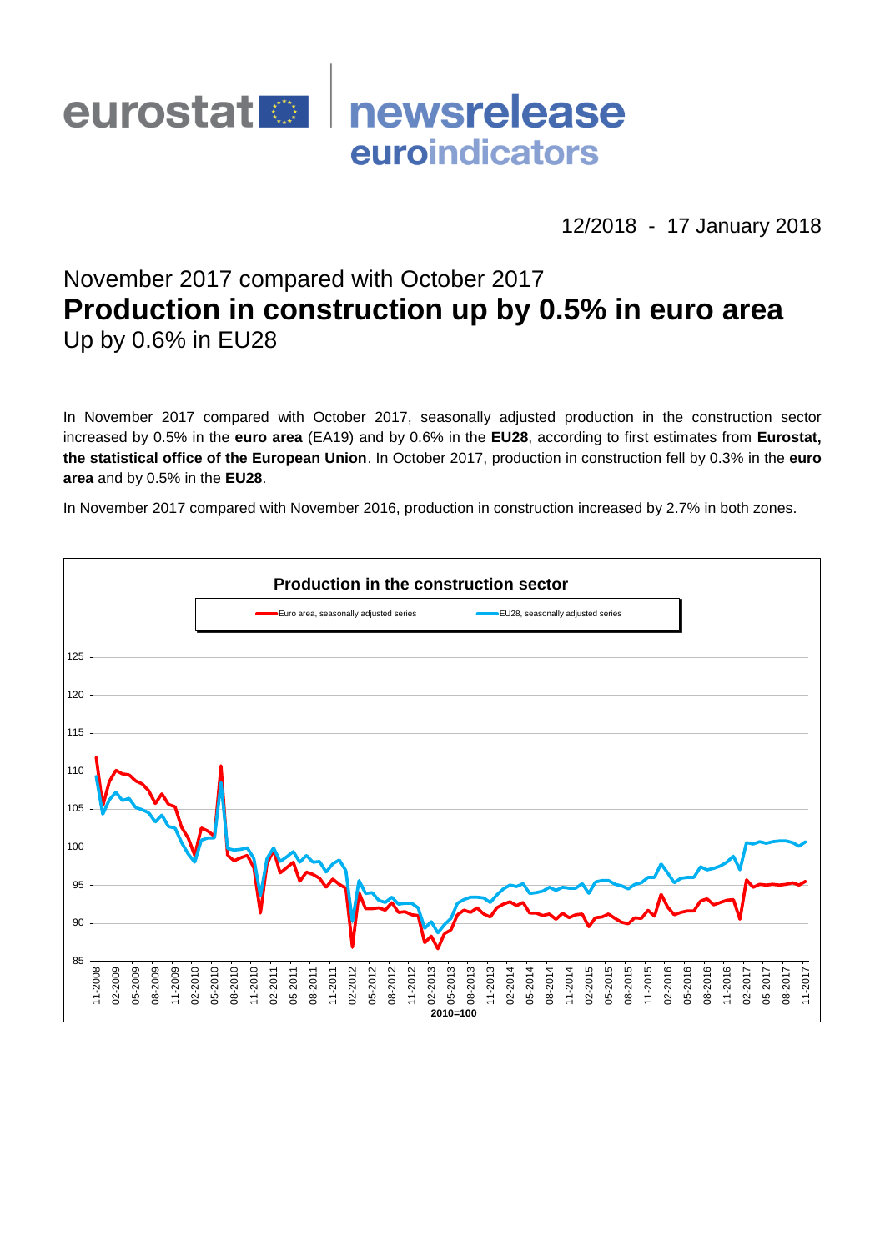

12/2018 - 17 January 2018

# November 2017 compared with October 2017 **Production in construction up by 0.5% in euro area** Up by 0.6% in EU28

In November 2017 compared with October 2017, seasonally adjusted production in the construction sector increased by 0.5% in the **euro area** (EA19) and by 0.6% in the **EU28**, according to first estimates from **Eurostat, the statistical office of the European Union**. In October 2017, production in construction fell by 0.3% in the **euro area** and by 0.5% in the **EU28**.

In November 2017 compared with November 2016, production in construction increased by 2.7% in both zones.

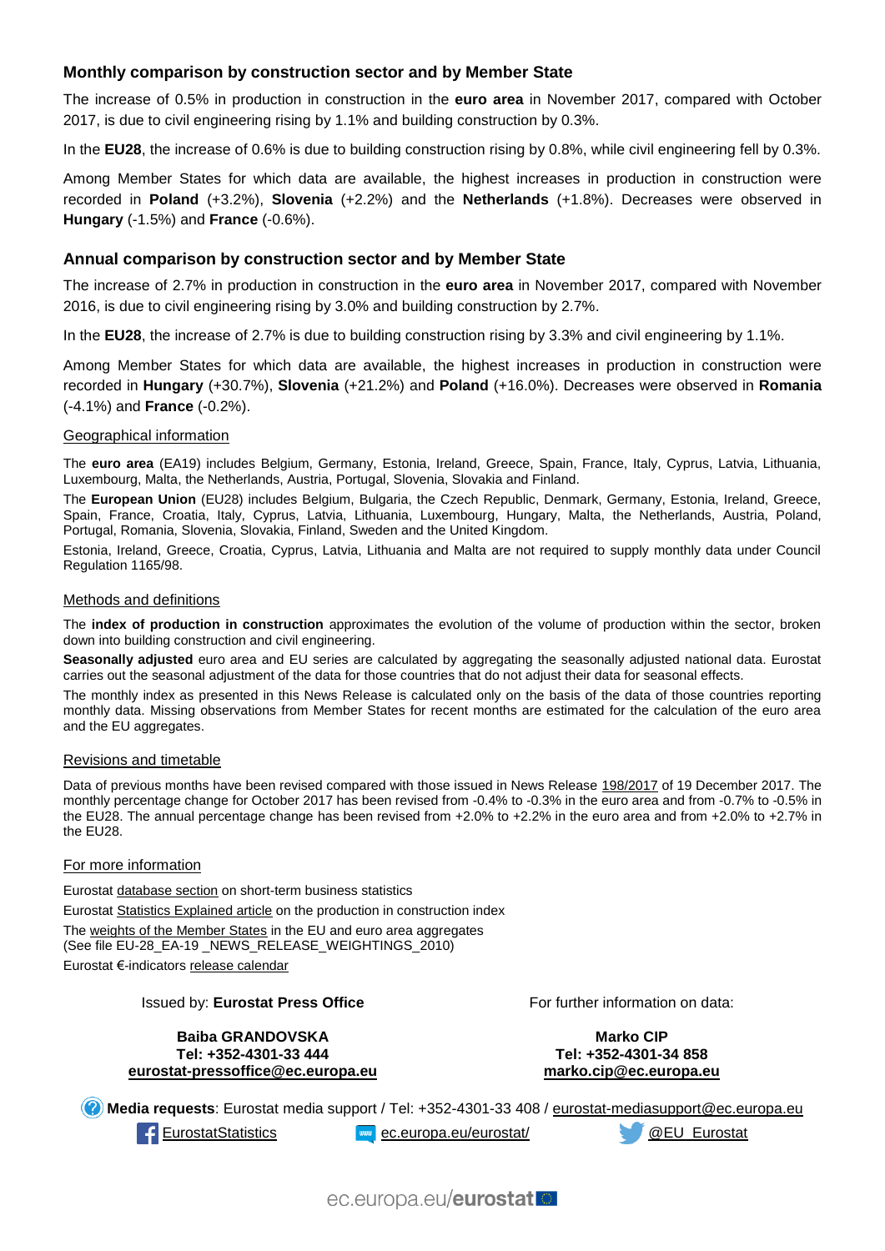## **Monthly comparison by construction sector and by Member State**

The increase of 0.5% in production in construction in the **euro area** in November 2017, compared with October 2017, is due to civil engineering rising by 1.1% and building construction by 0.3%.

In the **EU28**, the increase of 0.6% is due to building construction rising by 0.8%, while civil engineering fell by 0.3%.

Among Member States for which data are available, the highest increases in production in construction were recorded in **Poland** (+3.2%), **Slovenia** (+2.2%) and the **Netherlands** (+1.8%). Decreases were observed in **Hungary** (-1.5%) and **France** (-0.6%).

#### **Annual comparison by construction sector and by Member State**

The increase of 2.7% in production in construction in the **euro area** in November 2017, compared with November 2016, is due to civil engineering rising by 3.0% and building construction by 2.7%.

In the **EU28**, the increase of 2.7% is due to building construction rising by 3.3% and civil engineering by 1.1%.

Among Member States for which data are available, the highest increases in production in construction were recorded in **Hungary** (+30.7%), **Slovenia** (+21.2%) and **Poland** (+16.0%). Decreases were observed in **Romania** (-4.1%) and **France** (-0.2%).

#### Geographical information

The **euro area** (EA19) includes Belgium, Germany, Estonia, Ireland, Greece, Spain, France, Italy, Cyprus, Latvia, Lithuania, Luxembourg, Malta, the Netherlands, Austria, Portugal, Slovenia, Slovakia and Finland.

The **European Union** (EU28) includes Belgium, Bulgaria, the Czech Republic, Denmark, Germany, Estonia, Ireland, Greece, Spain, France, Croatia, Italy, Cyprus, Latvia, Lithuania, Luxembourg, Hungary, Malta, the Netherlands, Austria, Poland, Portugal, Romania, Slovenia, Slovakia, Finland, Sweden and the United Kingdom.

Estonia, Ireland, Greece, Croatia, Cyprus, Latvia, Lithuania and Malta are not required to supply monthly data under Council Regulation 1165/98.

#### Methods and definitions

The **index of production in construction** approximates the evolution of the volume of production within the sector, broken down into building construction and civil engineering.

Seasonally adjusted euro area and EU series are calculated by aggregating the seasonally adjusted national data. Eurostat carries out the seasonal adjustment of the data for those countries that do not adjust their data for seasonal effects.

The monthly index as presented in this News Release is calculated only on the basis of the data of those countries reporting monthly data. Missing observations from Member States for recent months are estimated for the calculation of the euro area and the EU aggregates.

#### Revisions and timetable

Data of previous months have been revised compared with those issued in News Release [198/2017](http://ec.europa.eu/eurostat/documents/2995521/8544785/4-19122017-BP-EN.pdf/f951bdd5-e874-45f9-b690-44b59b24fecf) of 19 December 2017. The monthly percentage change for October 2017 has been revised from -0.4% to -0.3% in the euro area and from -0.7% to -0.5% in the EU28. The annual percentage change has been revised from +2.0% to +2.2% in the euro area and from +2.0% to +2.7% in the EU28.

#### For more information

Eurosta[t database section](http://ec.europa.eu/eurostat/web/short-term-business-statistics/data/database) on short-term business statistics Eurosta[t Statistics Explained article](http://ec.europa.eu/eurostat/statistics-explained/index.php/Construction_production_(volume)_index_overview) on the production in construction index Th[e weights of the Member States](https://circabc.europa.eu/w/browse/5e6d1e48-056c-4c6a-8278-3ab138bcf575) in the EU and euro area aggregates (See file EU-28\_EA-19 \_NEWS\_RELEASE\_WEIGHTINGS\_2010) Eurostat €-indicator[s release calendar](http://ec.europa.eu/eurostat/news/release-calendar)

#### Issued by: **Eurostat Press Office**

**Baiba GRANDOVSKA Tel: +352-4301-33 444 [eurostat-pressoffice@ec.europa.eu](mailto:eurostat-pressoffice@ec.europa.eu)** For further information on data:

**Marko CIP Tel: +352-4301-34 858 [marko.cip@ec.europa.eu](mailto:marko.cip@ec.europa.eu)**

**Media requests**: Eurostat media support / Tel: +352-4301-33 408 / [eurostat-mediasupport@ec.europa.eu](mailto:eurostat-mediasupport@ec.europa.eu) [EurostatStatistics](http://www.facebook.com/EurostatStatistics) [ec.europa.eu/eurostat/](http://ec.europa.eu/eurostat/) [@EU\\_Eurostat](http://twitter.com/EU_Eurostat)

ec.europa.eu/eurostatlo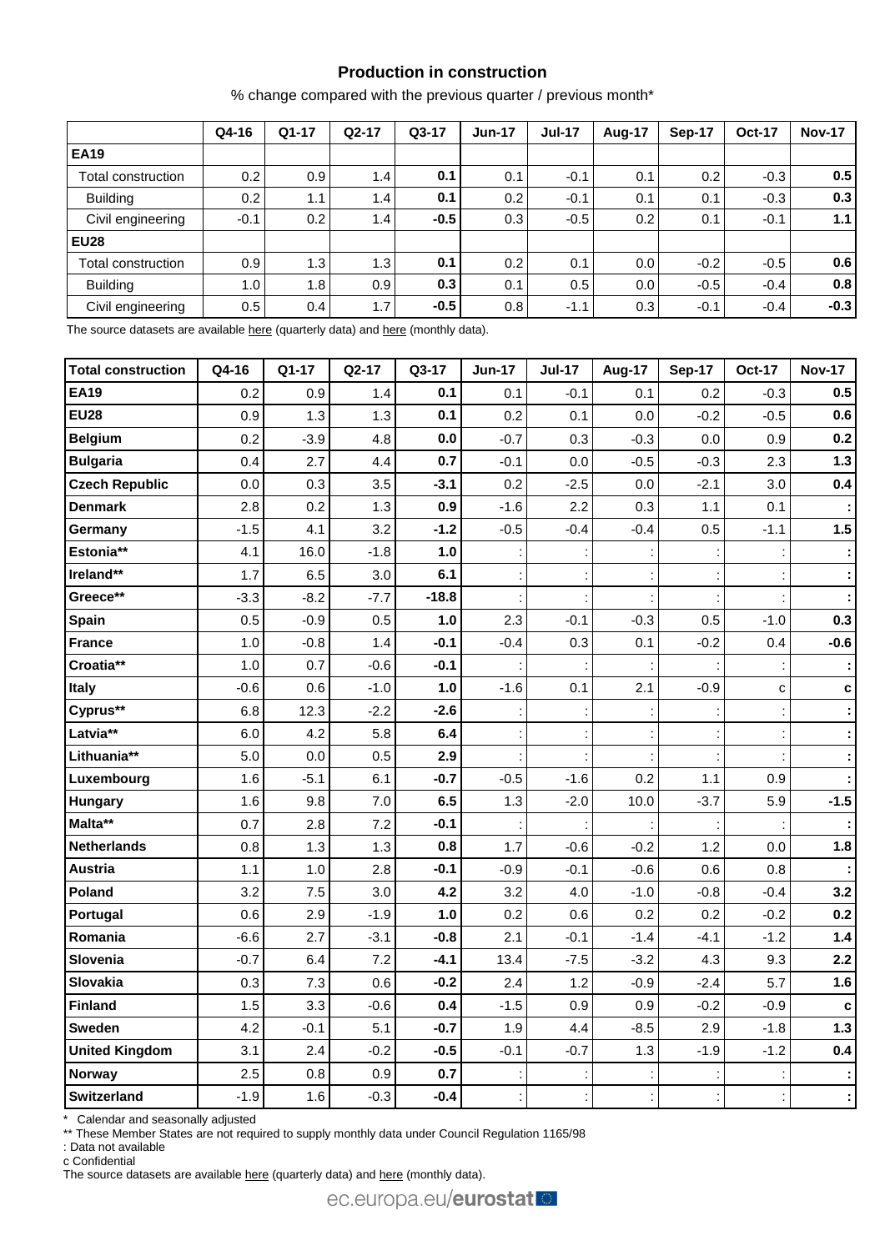## **Production in construction**

% change compared with the previous quarter / previous month\*

|                    | Q4-16            | $Q1-17$          | $Q2-17$ | $Q3-17$ | $Jun-17$ | <b>Jul-17</b> | <b>Aug-17</b> | Sep-17 | <b>Oct-17</b> | <b>Nov-17</b> |
|--------------------|------------------|------------------|---------|---------|----------|---------------|---------------|--------|---------------|---------------|
| <b>EA19</b>        |                  |                  |         |         |          |               |               |        |               |               |
| Total construction | 0.2              | 0.9 <sub>l</sub> | 1.4     | 0.1     | 0.1      | $-0.1$        | 0.1           | 0.2    | $-0.3$        | 0.5           |
| <b>Building</b>    | 0.2              | 1.1 <sub>1</sub> | 1.4     | 0.1     | 0.2      | $-0.1$        | 0.1           | 0.1    | $-0.3$        | 0.3           |
| Civil engineering  | $-0.1$           | 0.2              | 1.4     | $-0.5$  | 0.3      | $-0.5$        | 0.2           | 0.1    | $-0.1$        | 1.1           |
| <b>EU28</b>        |                  |                  |         |         |          |               |               |        |               |               |
| Total construction | 0.9 <sub>1</sub> | 1.3              | 1.3     | 0.1     | 0.2      | 0.1           | 0.0           | $-0.2$ | $-0.5$        | 0.6           |
| <b>Building</b>    | 1.0              | 1.8              | 0.9     | 0.3     | 0.1      | 0.5           | 0.0           | $-0.5$ | $-0.4$        | 0.8           |
| Civil engineering  | 0.5              | 0.4              | 1.7     | $-0.5$  | 0.8      | $-1.1$        | 0.3           | $-0.1$ | $-0.4$        | $-0.3$        |

The source datasets are available [here](http://appsso.eurostat.ec.europa.eu/nui/show.do?query=BOOKMARK_DS-069621_QID_-1D55C035_UID_-3F171EB0&layout=TIME,C,X,0;GEO,L,Y,0;NACE_R2,L,Y,1;INDIC_BT,L,Z,0;S_ADJ,L,Z,1;UNIT,L,Z,2;INDICATORS,C,Z,3;&zSelection=DS-069621UNIT,PCH_SM;DS-069621S_ADJ,CA;DS-069621INDICATORS,OBS_FLAG;DS-069621INDIC_BT,PROD;&rankName1=UNIT_1_2_-1_2&rankName2=INDIC-BT_1_2_-1_2&rankName3=INDICATORS_1_2_-1_2&rankName4=S-ADJ_1_2_-1_2&rankName5=TIME_1_0_0_0&rankName6=GEO_1_0_0_1&rankName7=NACE-R2_1_2_1_1&sortR=ASC_-1_FIRST&sortC=ASC_-1_FIRST&rStp=&cStp=&rDCh=&cDCh=&rDM=true&cDM=true&footnes=false&empty=false&wai=false&time_mode=ROLLING&time_most_recent=true&lang=EN&cfo=%23%23%23%2C%23%23%23.%23%23%23) (quarterly data) an[d here](http://appsso.eurostat.ec.europa.eu/nui/show.do?query=BOOKMARK_DS-069591_QID_58C109BA_UID_-3F171EB0&layout=TIME,C,X,0;GEO,L,Y,0;NACE_R2,L,Y,1;INDIC_BT,L,Z,0;S_ADJ,L,Z,1;UNIT,L,Z,2;INDICATORS,C,Z,3;&zSelection=DS-069591INDICATORS,OBS_FLAG;DS-069591S_ADJ,CA;DS-069591INDIC_BT,PROD;DS-069591UNIT,PCH_SM;&rankName1=UNIT_1_2_-1_2&rankName2=INDIC-BT_1_2_-1_2&rankName3=INDICATORS_1_2_-1_2&rankName4=S-ADJ_1_2_-1_2&rankName5=TIME_1_0_0_0&rankName6=GEO_1_0_0_1&rankName7=NACE-R2_1_2_1_1&sortR=ASC_-1_FIRST&sortC=ASC_-1_FIRST&rStp=&cStp=&rDCh=&cDCh=&rDM=true&cDM=true&footnes=false&empty=false&wai=false&time_mode=ROLLING&time_most_recent=true&lang=EN&cfo=%23%23%23%2C%23%23%23.%23%23%23) (monthly data).

| <b>Total construction</b> | Q4-16  | Q1-17  | Q2-17  | Q3-17   | <b>Jun-17</b> | <b>Jul-17</b> | Aug-17 | <b>Sep-17</b> | <b>Oct-17</b> | <b>Nov-17</b>        |
|---------------------------|--------|--------|--------|---------|---------------|---------------|--------|---------------|---------------|----------------------|
| <b>EA19</b>               | 0.2    | 0.9    | 1.4    | 0.1     | 0.1           | $-0.1$        | 0.1    | 0.2           | $-0.3$        | 0.5                  |
| <b>EU28</b>               | 0.9    | 1.3    | 1.3    | 0.1     | 0.2           | 0.1           | 0.0    | $-0.2$        | $-0.5$        | 0.6                  |
| <b>Belgium</b>            | 0.2    | $-3.9$ | 4.8    | 0.0     | $-0.7$        | 0.3           | $-0.3$ | 0.0           | 0.9           | 0.2                  |
| <b>Bulgaria</b>           | 0.4    | 2.7    | 4.4    | 0.7     | $-0.1$        | 0.0           | $-0.5$ | $-0.3$        | 2.3           | $1.3$                |
| <b>Czech Republic</b>     | 0.0    | 0.3    | 3.5    | $-3.1$  | 0.2           | $-2.5$        | 0.0    | $-2.1$        | 3.0           | 0.4                  |
| <b>Denmark</b>            | 2.8    | 0.2    | 1.3    | 0.9     | $-1.6$        | 2.2           | 0.3    | 1.1           | 0.1           |                      |
| Germany                   | $-1.5$ | 4.1    | 3.2    | $-1.2$  | $-0.5$        | $-0.4$        | $-0.4$ | 0.5           | $-1.1$        | 1.5                  |
| Estonia**                 | 4.1    | 16.0   | $-1.8$ | 1.0     |               |               |        |               |               | $\ddot{\phantom{a}}$ |
| Ireland**                 | 1.7    | 6.5    | 3.0    | 6.1     |               |               |        |               |               | ÷                    |
| Greece**                  | $-3.3$ | $-8.2$ | $-7.7$ | $-18.8$ |               |               |        |               |               |                      |
| Spain                     | 0.5    | $-0.9$ | 0.5    | 1.0     | 2.3           | $-0.1$        | $-0.3$ | 0.5           | $-1.0$        | 0.3                  |
| <b>France</b>             | 1.0    | $-0.8$ | 1.4    | $-0.1$  | $-0.4$        | 0.3           | 0.1    | $-0.2$        | 0.4           | $-0.6$               |
| Croatia**                 | 1.0    | 0.7    | $-0.6$ | $-0.1$  |               |               |        |               |               |                      |
| Italy                     | $-0.6$ | 0.6    | $-1.0$ | 1.0     | $-1.6$        | 0.1           | 2.1    | $-0.9$        | C             | $\mathbf c$          |
| Cyprus**                  | 6.8    | 12.3   | $-2.2$ | $-2.6$  |               |               |        |               |               | ÷                    |
| Latvia**                  | 6.0    | 4.2    | 5.8    | 6.4     |               |               |        |               |               |                      |
| Lithuania**               | 5.0    | 0.0    | 0.5    | 2.9     |               |               |        |               |               |                      |
| Luxembourg                | 1.6    | $-5.1$ | 6.1    | $-0.7$  | $-0.5$        | $-1.6$        | 0.2    | $1.1$         | 0.9           |                      |
| <b>Hungary</b>            | 1.6    | 9.8    | 7.0    | 6.5     | 1.3           | $-2.0$        | 10.0   | $-3.7$        | 5.9           | $-1.5$               |
| Malta**                   | 0.7    | 2.8    | 7.2    | $-0.1$  |               |               |        |               |               |                      |
| <b>Netherlands</b>        | 0.8    | 1.3    | 1.3    | 0.8     | 1.7           | $-0.6$        | $-0.2$ | 1.2           | 0.0           | 1.8                  |
| <b>Austria</b>            | 1.1    | 1.0    | 2.8    | $-0.1$  | $-0.9$        | $-0.1$        | $-0.6$ | 0.6           | 0.8           |                      |
| Poland                    | 3.2    | 7.5    | 3.0    | 4.2     | 3.2           | 4.0           | $-1.0$ | $-0.8$        | $-0.4$        | 3.2                  |
| Portugal                  | 0.6    | 2.9    | $-1.9$ | 1.0     | 0.2           | 0.6           | 0.2    | 0.2           | $-0.2$        | 0.2                  |
| Romania                   | $-6.6$ | 2.7    | $-3.1$ | $-0.8$  | 2.1           | $-0.1$        | $-1.4$ | $-4.1$        | $-1.2$        | $1.4$                |
| Slovenia                  | $-0.7$ | 6.4    | 7.2    | $-4.1$  | 13.4          | $-7.5$        | $-3.2$ | 4.3           | 9.3           | 2.2                  |
| Slovakia                  | 0.3    | 7.3    | 0.6    | $-0.2$  | 2.4           | 1.2           | $-0.9$ | $-2.4$        | 5.7           | 1.6                  |
| <b>Finland</b>            | 1.5    | 3.3    | $-0.6$ | 0.4     | $-1.5$        | 0.9           | 0.9    | $-0.2$        | $-0.9$        | $\mathbf c$          |
| <b>Sweden</b>             | 4.2    | $-0.1$ | 5.1    | $-0.7$  | 1.9           | 4.4           | $-8.5$ | 2.9           | $-1.8$        | $1.3$                |
| <b>United Kingdom</b>     | 3.1    | 2.4    | $-0.2$ | $-0.5$  | $-0.1$        | $-0.7$        | 1.3    | $-1.9$        | $-1.2$        | 0.4                  |
| <b>Norway</b>             | 2.5    | 0.8    | 0.9    | 0.7     |               |               |        |               |               |                      |
| <b>Switzerland</b>        | $-1.9$ | 1.6    | $-0.3$ | $-0.4$  |               |               | ÷      |               |               | ţ,                   |

\* Calendar and seasonally adjusted

\*\* These Member States are not required to supply monthly data under Council Regulation 1165/98

: Data not available

c Confidential

The source datasets are available [here](http://appsso.eurostat.ec.europa.eu/nui/show.do?query=BOOKMARK_DS-069591_QID_6FE2C2A1_UID_-3F171EB0&layout=TIME,C,X,0;GEO,L,Y,0;INDIC_BT,L,Z,0;S_ADJ,L,Z,1;UNIT,L,Z,2;NACE_R2,L,Z,3;INDICATORS,C,Z,4;&zSelection=DS-069591NACE_R2,F;DS-069591INDICATORS,OBS_FLAG;DS-069591S_ADJ,SCA;DS-069591INDIC_BT,PROD;DS-069591UNIT,PCH_PRE;&rankName1=UNIT_1_2_-1_2&rankName2=INDIC-BT_1_2_-1_2&rankName3=INDICATORS_1_2_-1_2&rankName4=S-ADJ_1_2_-1_2&rankName5=NACE-R2_1_2_1_1&rankName6=TIME_1_0_0_0&rankName7=GEO_1_2_0_1&sortC=ASC_-1_FIRST&rStp=&cStp=&rDCh=&cDCh=&rDM=true&cDM=true&footnes=false&empty=false&wai=false&time_mode=ROLLING&time_most_recent=true&lang=EN&cfo=%23%23%23%2C%23%23%23.%23%23%23) (quarterly data) and here (monthly data).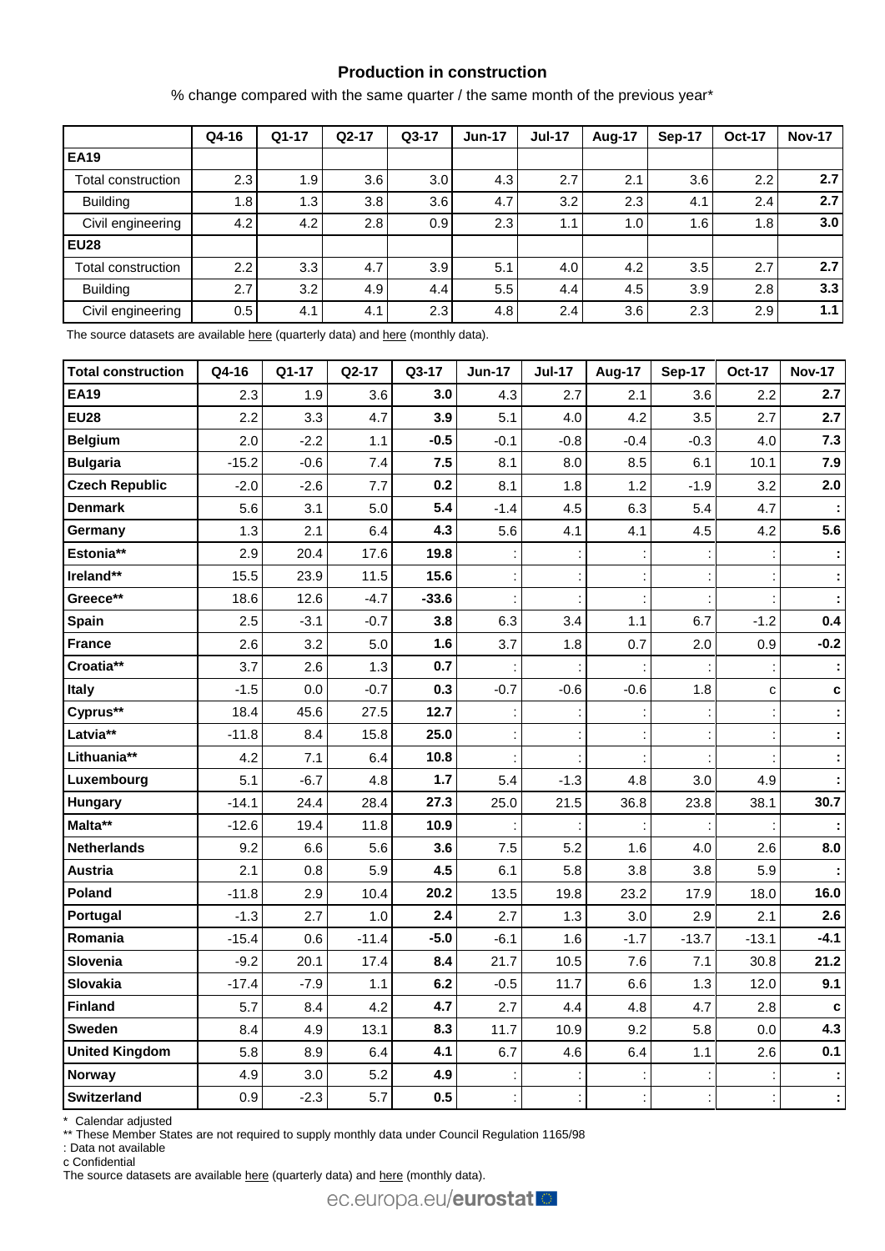## **Production in construction**

% change compared with the same quarter / the same month of the previous year\*

|                    | Q4-16 | $Q1-17$          | $Q2-17$ | $Q3-17$ | <b>Jun-17</b> | <b>Jul-17</b> | <b>Aug-17</b> | Sep-17           | <b>Oct-17</b> | <b>Nov-17</b> |
|--------------------|-------|------------------|---------|---------|---------------|---------------|---------------|------------------|---------------|---------------|
| <b>EA19</b>        |       |                  |         |         |               |               |               |                  |               |               |
| Total construction | 2.3   | 1.9              | 3.6     | 3.0     | 4.3           | 2.7           | 2.1           | 3.6              | $2.2^{\circ}$ | 2.7           |
| <b>Building</b>    | 1.8   | 1.3              | 3.8     | 3.6     | 4.7           | 3.2           | 2.3           | 4.1              | 2.4           | 2.7           |
| Civil engineering  | 4.2   | 4.2 <sub>1</sub> | 2.8     | 0.9     | 2.3           | 1.1           | 1.0           | 1.6 <sub>1</sub> | 1.8           | 3.0           |
| <b>EU28</b>        |       |                  |         |         |               |               |               |                  |               |               |
| Total construction | 2.2   | 3.3              | 4.7     | 3.9     | 5.1           | 4.0           | 4.2           | 3.5              | 2.7           | 2.7           |
| <b>Building</b>    | 2.7   | 3.2              | 4.9     | 4.4     | 5.5           | 4.4           | 4.5           | 3.9              | 2.8           | 3.3           |
| Civil engineering  | 0.5   | 4.1              | 4.1     | 2.3     | 4.8           | 2.4           | 3.6           | 2.3              | 2.9           | 1.1           |

The source datasets are available [here](http://appsso.eurostat.ec.europa.eu/nui/show.do?query=BOOKMARK_DS-069621_QID_66F9A0D6_UID_-3F171EB0&layout=TIME,C,X,0;GEO,L,Y,0;NACE_R2,L,Y,1;INDIC_BT,L,Z,0;S_ADJ,L,Z,1;UNIT,L,Z,2;INDICATORS,C,Z,3;&zSelection=DS-069621UNIT,PCH_SM;DS-069621S_ADJ,CA;DS-069621INDICATORS,OBS_FLAG;DS-069621INDIC_BT,PROD;&rankName1=UNIT_1_2_-1_2&rankName2=INDIC-BT_1_2_-1_2&rankName3=INDICATORS_1_2_-1_2&rankName4=S-ADJ_1_2_-1_2&rankName5=TIME_1_0_0_0&rankName6=GEO_1_0_0_1&rankName7=NACE-R2_1_2_1_1&sortR=ASC_-1_FIRST&sortC=ASC_-1_FIRST&rStp=&cStp=&rDCh=&cDCh=&rDM=true&cDM=true&footnes=false&empty=false&wai=false&time_mode=ROLLING&time_most_recent=true&lang=EN&cfo=%23%23%23%2C%23%23%23.%23%23%23) (quarterly data) an[d here](http://appsso.eurostat.ec.europa.eu/nui/show.do?query=BOOKMARK_DS-069591_QID_7DF3E9C9_UID_-3F171EB0&layout=TIME,C,X,0;GEO,L,Y,0;NACE_R2,L,Y,1;INDIC_BT,L,Z,0;S_ADJ,L,Z,1;UNIT,L,Z,2;INDICATORS,C,Z,3;&zSelection=DS-069591INDICATORS,OBS_FLAG;DS-069591S_ADJ,SCA;DS-069591INDIC_BT,PROD;DS-069591UNIT,PCH_PRE;&rankName1=UNIT_1_2_-1_2&rankName2=INDIC-BT_1_2_-1_2&rankName3=INDICATORS_1_2_-1_2&rankName4=S-ADJ_1_2_-1_2&rankName5=TIME_1_0_0_0&rankName6=GEO_1_0_0_1&rankName7=NACE-R2_1_2_1_1&sortR=ASC_-1_FIRST&sortC=ASC_-1_FIRST&rStp=&cStp=&rDCh=&cDCh=&rDM=true&cDM=true&footnes=false&empty=false&wai=false&time_mode=ROLLING&time_most_recent=true&lang=EN&cfo=%23%23%23%2C%23%23%23.%23%23%23) (monthly data).

| <b>Total construction</b> | Q4-16   | Q1-17  | Q2-17   | Q3-17   | <b>Jun-17</b> | <b>Jul-17</b> | Aug-17               | <b>Sep-17</b> | <b>Oct-17</b> | <b>Nov-17</b> |
|---------------------------|---------|--------|---------|---------|---------------|---------------|----------------------|---------------|---------------|---------------|
| <b>EA19</b>               | 2.3     | 1.9    | 3.6     | 3.0     | 4.3           | 2.7           | 2.1                  | 3.6           | 2.2           | 2.7           |
| <b>EU28</b>               | 2.2     | 3.3    | 4.7     | 3.9     | 5.1           | 4.0           | 4.2                  | 3.5           | 2.7           | 2.7           |
| <b>Belgium</b>            | 2.0     | $-2.2$ | 1.1     | $-0.5$  | $-0.1$        | $-0.8$        | $-0.4$               | $-0.3$        | 4.0           | 7.3           |
| <b>Bulgaria</b>           | $-15.2$ | $-0.6$ | 7.4     | 7.5     | 8.1           | 8.0           | 8.5                  | 6.1           | 10.1          | 7.9           |
| <b>Czech Republic</b>     | $-2.0$  | $-2.6$ | 7.7     | 0.2     | 8.1           | 1.8           | 1.2                  | $-1.9$        | 3.2           | 2.0           |
| <b>Denmark</b>            | 5.6     | 3.1    | 5.0     | 5.4     | $-1.4$        | 4.5           | 6.3                  | 5.4           | 4.7           |               |
| Germany                   | 1.3     | 2.1    | 6.4     | 4.3     | 5.6           | 4.1           | 4.1                  | 4.5           | 4.2           | 5.6           |
| Estonia**                 | 2.9     | 20.4   | 17.6    | 19.8    |               |               |                      |               |               |               |
| Ireland**                 | 15.5    | 23.9   | 11.5    | 15.6    |               |               |                      |               |               |               |
| Greece**                  | 18.6    | 12.6   | $-4.7$  | $-33.6$ |               |               |                      |               |               |               |
| Spain                     | 2.5     | $-3.1$ | $-0.7$  | 3.8     | 6.3           | 3.4           | 1.1                  | 6.7           | $-1.2$        | 0.4           |
| <b>France</b>             | 2.6     | 3.2    | 5.0     | 1.6     | 3.7           | 1.8           | 0.7                  | 2.0           | 0.9           | $-0.2$        |
| Croatia**                 | 3.7     | 2.6    | 1.3     | 0.7     |               |               |                      |               |               |               |
| <b>Italy</b>              | $-1.5$  | 0.0    | $-0.7$  | 0.3     | $-0.7$        | $-0.6$        | $-0.6$               | 1.8           | C             | c             |
| Cyprus**                  | 18.4    | 45.6   | 27.5    | 12.7    |               |               |                      |               |               |               |
| Latvia**                  | $-11.8$ | 8.4    | 15.8    | 25.0    |               |               |                      |               |               |               |
| Lithuania**               | 4.2     | 7.1    | 6.4     | 10.8    |               |               |                      |               |               |               |
| Luxembourg                | 5.1     | $-6.7$ | 4.8     | $1.7$   | 5.4           | $-1.3$        | 4.8                  | 3.0           | 4.9           |               |
| <b>Hungary</b>            | $-14.1$ | 24.4   | 28.4    | 27.3    | 25.0          | 21.5          | 36.8                 | 23.8          | 38.1          | 30.7          |
| Malta**                   | $-12.6$ | 19.4   | 11.8    | 10.9    |               |               |                      |               |               |               |
| Netherlands               | 9.2     | 6.6    | 5.6     | 3.6     | 7.5           | 5.2           | 1.6                  | 4.0           | 2.6           | 8.0           |
| <b>Austria</b>            | 2.1     | 0.8    | 5.9     | 4.5     | 6.1           | 5.8           | 3.8                  | 3.8           | 5.9           |               |
| Poland                    | $-11.8$ | 2.9    | 10.4    | 20.2    | 13.5          | 19.8          | 23.2                 | 17.9          | 18.0          | 16.0          |
| Portugal                  | $-1.3$  | 2.7    | 1.0     | 2.4     | 2.7           | 1.3           | 3.0                  | 2.9           | 2.1           | 2.6           |
| Romania                   | $-15.4$ | 0.6    | $-11.4$ | $-5.0$  | $-6.1$        | 1.6           | $-1.7$               | $-13.7$       | $-13.1$       | $-4.1$        |
| Slovenia                  | $-9.2$  | 20.1   | 17.4    | 8.4     | 21.7          | 10.5          | 7.6                  | 7.1           | 30.8          | 21.2          |
| Slovakia                  | $-17.4$ | $-7.9$ | 1.1     | 6.2     | $-0.5$        | 11.7          | 6.6                  | 1.3           | 12.0          | 9.1           |
| <b>Finland</b>            | 5.7     | 8.4    | 4.2     | 4.7     | 2.7           | 4.4           | 4.8                  | 4.7           | 2.8           | C             |
| <b>Sweden</b>             | 8.4     | 4.9    | 13.1    | 8.3     | 11.7          | 10.9          | 9.2                  | 5.8           | 0.0           | 4.3           |
| <b>United Kingdom</b>     | 5.8     | 8.9    | 6.4     | 4.1     | 6.7           | 4.6           | 6.4                  | 1.1           | 2.6           | 0.1           |
| <b>Norway</b>             | 4.9     | 3.0    | 5.2     | 4.9     |               |               |                      |               |               |               |
| <b>Switzerland</b>        | 0.9     | $-2.3$ | 5.7     | 0.5     |               |               | $\ddot{\phantom{a}}$ | Ì,            | ÷             |               |

\* Calendar adjusted

\*\* These Member States are not required to supply monthly data under Council Regulation 1165/98

: Data not available

c Confidential

The source datasets are available [here](http://appsso.eurostat.ec.europa.eu/nui/show.do?query=BOOKMARK_DS-069591_QID_-16144A81_UID_-3F171EB0&layout=TIME,C,X,0;GEO,L,Y,0;INDIC_BT,L,Z,0;S_ADJ,L,Z,1;UNIT,L,Z,2;NACE_R2,L,Z,3;INDICATORS,C,Z,4;&zSelection=DS-069591NACE_R2,F;DS-069591INDICATORS,OBS_FLAG;DS-069591S_ADJ,SCA;DS-069591INDIC_BT,PROD;DS-069591UNIT,PCH_PRE;&rankName1=UNIT_1_2_-1_2&rankName2=INDIC-BT_1_2_-1_2&rankName3=INDICATORS_1_2_-1_2&rankName4=S-ADJ_1_2_-1_2&rankName5=NACE-R2_1_2_1_1&rankName6=TIME_1_0_0_0&rankName7=GEO_1_2_0_1&sortC=ASC_-1_FIRST&rStp=&cStp=&rDCh=&cDCh=&rDM=true&cDM=true&footnes=false&empty=false&wai=false&time_mode=ROLLING&time_most_recent=true&lang=EN&cfo=%23%23%23%2C%23%23%23.%23%23%23) (quarterly data) and here (monthly data).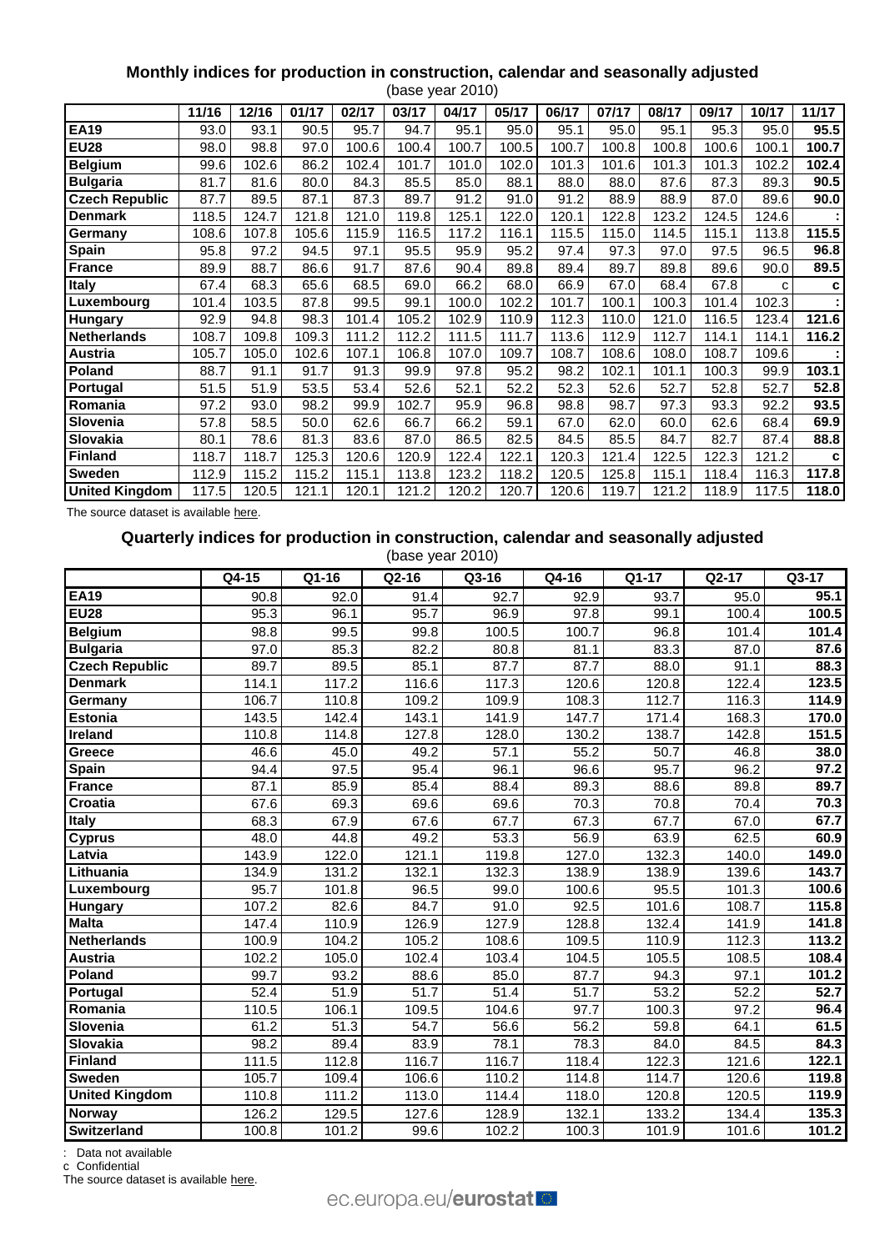## **Monthly indices for production in construction, calendar and seasonally adjusted**

|                       |       |       |       |       |       | (base year 2010) |       |       |       |       |       |       |       |
|-----------------------|-------|-------|-------|-------|-------|------------------|-------|-------|-------|-------|-------|-------|-------|
|                       | 11/16 | 12/16 | 01/17 | 02/17 | 03/17 | 04/17            | 05/17 | 06/17 | 07/17 | 08/17 | 09/17 | 10/17 | 11/17 |
| <b>EA19</b>           | 93.0  | 93.1  | 90.5  | 95.7  | 94.7  | 95.1             | 95.0  | 95.1  | 95.0  | 95.1  | 95.3  | 95.0  | 95.5  |
| <b>EU28</b>           | 98.0  | 98.8  | 97.0  | 100.6 | 100.4 | 100.7            | 100.5 | 100.7 | 100.8 | 100.8 | 100.6 | 100.1 | 100.7 |
| <b>Belgium</b>        | 99.6  | 102.6 | 86.2  | 102.4 | 101.7 | 101.0            | 102.0 | 101.3 | 101.6 | 101.3 | 101.3 | 102.2 | 102.4 |
| <b>Bulgaria</b>       | 81.7  | 81.6  | 80.0  | 84.3  | 85.5  | 85.0             | 88.1  | 88.0  | 88.0  | 87.6  | 87.3  | 89.3  | 90.5  |
| <b>Czech Republic</b> | 87.7  | 89.5  | 87.1  | 87.3  | 89.7  | 91.2             | 91.0  | 91.2  | 88.9  | 88.9  | 87.0  | 89.6  | 90.0  |
| <b>Denmark</b>        | 118.5 | 124.7 | 121.8 | 121.0 | 119.8 | 125.1            | 122.0 | 120.1 | 122.8 | 123.2 | 124.5 | 124.6 |       |
| Germany               | 108.6 | 107.8 | 105.6 | 115.9 | 116.5 | 117.2            | 116.1 | 115.5 | 115.0 | 114.5 | 115.1 | 113.8 | 115.5 |
| <b>Spain</b>          | 95.8  | 97.2  | 94.5  | 97.1  | 95.5  | 95.9             | 95.2  | 97.4  | 97.3  | 97.0  | 97.5  | 96.5  | 96.8  |
| <b>France</b>         | 89.9  | 88.7  | 86.6  | 91.7  | 87.6  | 90.4             | 89.8  | 89.4  | 89.7  | 89.8  | 89.6  | 90.0  | 89.5  |
| <b>Italy</b>          | 67.4  | 68.3  | 65.6  | 68.5  | 69.0  | 66.2             | 68.0  | 66.9  | 67.0  | 68.4  | 67.8  | C     | с     |
| Luxembourg            | 101.4 | 103.5 | 87.8  | 99.5  | 99.1  | 100.0            | 102.2 | 101.7 | 100.1 | 100.3 | 101.4 | 102.3 |       |
| <b>Hungary</b>        | 92.9  | 94.8  | 98.3  | 101.4 | 105.2 | 102.9            | 110.9 | 112.3 | 110.0 | 121.0 | 116.5 | 123.4 | 121.6 |
| <b>Netherlands</b>    | 108.7 | 109.8 | 109.3 | 111.2 | 112.2 | 111.5            | 111.7 | 113.6 | 112.9 | 112.7 | 114.1 | 114.1 | 116.2 |
| Austria               | 105.7 | 105.0 | 102.6 | 107.1 | 106.8 | 107.0            | 109.7 | 108.7 | 108.6 | 108.0 | 108.7 | 109.6 |       |
| Poland                | 88.7  | 91.1  | 91.7  | 91.3  | 99.9  | 97.8             | 95.2  | 98.2  | 102.1 | 101.1 | 100.3 | 99.9  | 103.1 |
| Portugal              | 51.5  | 51.9  | 53.5  | 53.4  | 52.6  | 52.1             | 52.2  | 52.3  | 52.6  | 52.7  | 52.8  | 52.7  | 52.8  |
| Romania               | 97.2  | 93.0  | 98.2  | 99.9  | 102.7 | 95.9             | 96.8  | 98.8  | 98.7  | 97.3  | 93.3  | 92.2  | 93.5  |
| Slovenia              | 57.8  | 58.5  | 50.0  | 62.6  | 66.7  | 66.2             | 59.1  | 67.0  | 62.0  | 60.0  | 62.6  | 68.4  | 69.9  |
| Slovakia              | 80.1  | 78.6  | 81.3  | 83.6  | 87.0  | 86.5             | 82.5  | 84.5  | 85.5  | 84.7  | 82.7  | 87.4  | 88.8  |
| <b>Finland</b>        | 118.7 | 118.7 | 125.3 | 120.6 | 120.9 | 122.4            | 122.1 | 120.3 | 121.4 | 122.5 | 122.3 | 121.2 | c     |
| Sweden                | 112.9 | 115.2 | 115.2 | 115.1 | 113.8 | 123.2            | 118.2 | 120.5 | 125.8 | 115.1 | 118.4 | 116.3 | 117.8 |
| <b>United Kingdom</b> | 117.5 | 120.5 | 121.1 | 120.1 | 121.2 | 120.2            | 120.7 | 120.6 | 119.7 | 121.2 | 118.9 | 117.5 | 118.0 |

The source dataset is availabl[e here.](http://appsso.eurostat.ec.europa.eu/nui/show.do?query=BOOKMARK_DS-069591_QID_47E739CD_UID_-3F171EB0&layout=TIME,C,X,0;GEO,L,Y,0;INDIC_BT,L,Z,0;S_ADJ,L,Z,1;UNIT,L,Z,2;NACE_R2,L,Z,3;INDICATORS,C,Z,4;&zSelection=DS-069591NACE_R2,F;DS-069591INDICATORS,OBS_FLAG;DS-069591S_ADJ,CA;DS-069591INDIC_BT,PROD;DS-069591UNIT,PCH_SM;&rankName1=UNIT_1_2_-1_2&rankName2=INDIC-BT_1_2_-1_2&rankName3=INDICATORS_1_2_-1_2&rankName4=S-ADJ_1_2_-1_2&rankName5=NACE-R2_1_2_1_1&rankName6=TIME_1_0_0_0&rankName7=GEO_1_2_0_1&sortC=ASC_-1_FIRST&rStp=&cStp=&rDCh=&cDCh=&rDM=true&cDM=true&footnes=false&empty=false&wai=false&time_mode=ROLLING&time_most_recent=true&lang=EN&cfo=%23%23%23%2C%23%23%23.%23%23%23)

## **Quarterly indices for production in construction, calendar and seasonally adjusted**

(base year 2010)

|                       | Q4-15 | Q1-16             | Q2-16             | Q3-16             | Q4-16              | Q1-17             | Q2-17 | Q3-17             |
|-----------------------|-------|-------------------|-------------------|-------------------|--------------------|-------------------|-------|-------------------|
| <b>EA19</b>           | 90.8  | 92.0              | 91.4              | 92.7              | 92.9               | 93.7              | 95.0  | 95.1              |
| <b>EU28</b>           | 95.3  | 96.1              | 95.7              | 96.9              | 97.8               | 99.1              | 100.4 | 100.5             |
| <b>Belgium</b>        | 98.8  | 99.5              | 99.8              | 100.5             | 100.7              | 96.8              | 101.4 | 101.4             |
| <b>Bulgaria</b>       | 97.0  | 85.3              | 82.2              | 80.8              | 81.1               | 83.3              | 87.0  | 87.6              |
| <b>Czech Republic</b> | 89.7  | 89.5              | 85.1              | 87.7              | 87.7               | 88.0              | 91.1  | 88.3              |
| <b>Denmark</b>        | 114.1 | 117.2             | 116.6             | 117.3             | $\overline{120.6}$ | 120.8             | 122.4 | 123.5             |
| Germany               | 106.7 | 110.8             | 109.2             | 109.9             | 108.3              | 112.7             | 116.3 | 114.9             |
| <b>Estonia</b>        | 143.5 | 142.4             | 143.1             | 141.9             | 147.7              | 171.4             | 168.3 | 170.0             |
| <b>Ireland</b>        | 110.8 | 114.8             | 127.8             | 128.0             | 130.2              | 138.7             | 142.8 | 151.5             |
| Greece                | 46.6  | 45.0              | 49.2              | 57.1              | 55.2               | 50.7              | 46.8  | 38.0              |
| Spain                 | 94.4  | 97.5              | 95.4              | 96.1              | 96.6               | 95.7              | 96.2  | 97.2              |
| <b>France</b>         | 87.1  | 85.9              | 85.4              | 88.4              | 89.3               | 88.6              | 89.8  | 89.7              |
| Croatia               | 67.6  | 69.3              | 69.6              | 69.6              | 70.3               | 70.8              | 70.4  | 70.3              |
| Italy                 | 68.3  | 67.9              | 67.6              | 67.7              | 67.3               | 67.7              | 67.0  | 67.7              |
| <b>Cyprus</b>         | 48.0  | 44.8              | 49.2              | $\overline{53.3}$ | 56.9               | 63.9              | 62.5  | 60.9              |
| Latvia                | 143.9 | 122.0             | 121.1             | 119.8             | $\overline{127.0}$ | 132.3             | 140.0 | 149.0             |
| Lithuania             | 134.9 | 131.2             | 132.1             | 132.3             | 138.9              | 138.9             | 139.6 | 143.7             |
| Luxembourg            | 95.7  | 101.8             | 96.5              | 99.0              | 100.6              | 95.5              | 101.3 | 100.6             |
| <b>Hungary</b>        | 107.2 | 82.6              | 84.7              | 91.0              | 92.5               | 101.6             | 108.7 | 115.8             |
| <b>Malta</b>          | 147.4 | 110.9             | 126.9             | 127.9             | 128.8              | 132.4             | 141.9 | 141.8             |
| <b>Netherlands</b>    | 100.9 | 104.2             | 105.2             | 108.6             | 109.5              | 110.9             | 112.3 | 113.2             |
| <b>Austria</b>        | 102.2 | 105.0             | 102.4             | 103.4             | 104.5              | 105.5             | 108.5 | 108.4             |
| Poland                | 99.7  | 93.2              | 88.6              | 85.0              | 87.7               | 94.3              | 97.1  | 101.2             |
| Portugal              | 52.4  | $\frac{1}{51.9}$  | $\overline{51.7}$ | 51.4              | $\overline{51.7}$  | $\overline{53.2}$ | 52.2  | $\overline{52.7}$ |
| Romania               | 110.5 | 106.1             | 109.5             | 104.6             | 97.7               | 100.3             | 97.2  | 96.4              |
| Slovenia              | 61.2  | $\overline{51.3}$ | 54.7              | 56.6              | 56.2               | 59.8              | 64.1  | 61.5              |
| <b>Slovakia</b>       | 98.2  | 89.4              | 83.9              | 78.1              | 78.3               | 84.0              | 84.5  | 84.3              |
| <b>Finland</b>        | 111.5 | 112.8             | 116.7             | 116.7             | 118.4              | 122.3             | 121.6 | 122.1             |
| <b>Sweden</b>         | 105.7 | 109.4             | 106.6             | 110.2             | 114.8              | 114.7             | 120.6 | 119.8             |
| <b>United Kingdom</b> | 110.8 | 111.2             | 113.0             | 114.4             | 118.0              | 120.8             | 120.5 | 119.9             |
| Norway                | 126.2 | 129.5             | 127.6             | 128.9             | 132.1              | 133.2             | 134.4 | 135.3             |
| <b>Switzerland</b>    | 100.8 | 101.2             | 99.6              | 102.2             | 100.3              | 101.9             | 101.6 | 101.2             |

: Data not available

c Confidential

The source dataset is available [here.](http://appsso.eurostat.ec.europa.eu/nui/show.do?query=BOOKMARK_DS-069621_QID_38FDA4CE_UID_-3F171EB0&layout=TIME,C,X,0;GEO,L,Y,0;INDIC_BT,L,Z,0;NACE_R2,L,Z,1;S_ADJ,L,Z,2;UNIT,L,Z,3;INDICATORS,C,Z,4;&zSelection=DS-069621UNIT,I10;DS-069621S_ADJ,CA;DS-069621NACE_R2,F;DS-069621INDICATORS,OBS_FLAG;DS-069621INDIC_BT,PROD;&rankName1=UNIT_1_2_-1_2&rankName2=INDIC-BT_1_2_-1_2&rankName3=INDICATORS_1_2_-1_2&rankName4=S-ADJ_1_2_-1_2&rankName5=NACE-R2_1_2_-1_2&rankName6=TIME_1_0_0_0&rankName7=GEO_1_2_0_1&sortC=ASC_-1_FIRST&rStp=&cStp=&rDCh=&cDCh=&rDM=true&cDM=true&footnes=false&empty=false&wai=false&time_mode=ROLLING&time_most_recent=true&lang=EN&cfo=%23%23%23%2C%23%23%23.%23%23%23)